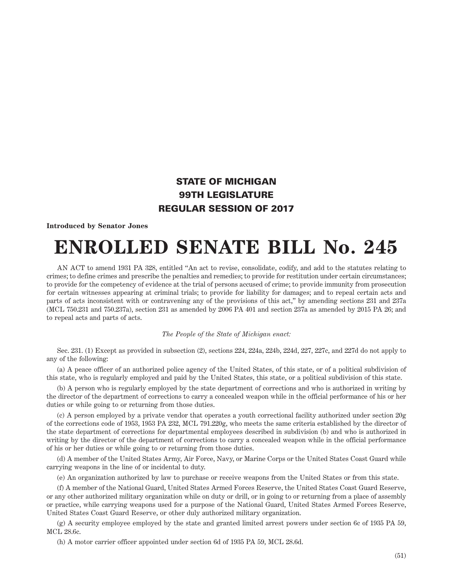## STATE OF MICHIGAN 99TH LEGISLATURE REGULAR SESSION OF 2017

## **Introduced by Senator Jones**

## **ENROLLED SENATE BILL No. 245**

AN ACT to amend 1931 PA 328, entitled "An act to revise, consolidate, codify, and add to the statutes relating to crimes; to define crimes and prescribe the penalties and remedies; to provide for restitution under certain circumstances; to provide for the competency of evidence at the trial of persons accused of crime; to provide immunity from prosecution for certain witnesses appearing at criminal trials; to provide for liability for damages; and to repeal certain acts and parts of acts inconsistent with or contravening any of the provisions of this act," by amending sections 231 and 237a (MCL 750.231 and 750.237a), section 231 as amended by 2006 PA 401 and section 237a as amended by 2015 PA 26; and to repeal acts and parts of acts.

## *The People of the State of Michigan enact:*

Sec. 231. (1) Except as provided in subsection (2), sections 224, 224a, 224b, 224d, 227, 227c, and 227d do not apply to any of the following:

(a) A peace officer of an authorized police agency of the United States, of this state, or of a political subdivision of this state, who is regularly employed and paid by the United States, this state, or a political subdivision of this state.

(b) A person who is regularly employed by the state department of corrections and who is authorized in writing by the director of the department of corrections to carry a concealed weapon while in the official performance of his or her duties or while going to or returning from those duties.

(c) A person employed by a private vendor that operates a youth correctional facility authorized under section 20g of the corrections code of 1953, 1953 PA 232, MCL 791.220g, who meets the same criteria established by the director of the state department of corrections for departmental employees described in subdivision (b) and who is authorized in writing by the director of the department of corrections to carry a concealed weapon while in the official performance of his or her duties or while going to or returning from those duties.

(d) A member of the United States Army, Air Force, Navy, or Marine Corps or the United States Coast Guard while carrying weapons in the line of or incidental to duty.

(e) An organization authorized by law to purchase or receive weapons from the United States or from this state.

(f) A member of the National Guard, United States Armed Forces Reserve, the United States Coast Guard Reserve, or any other authorized military organization while on duty or drill, or in going to or returning from a place of assembly or practice, while carrying weapons used for a purpose of the National Guard, United States Armed Forces Reserve, United States Coast Guard Reserve, or other duly authorized military organization.

(g) A security employee employed by the state and granted limited arrest powers under section 6c of 1935 PA 59, MCL 28.6c.

(h) A motor carrier officer appointed under section 6d of 1935 PA 59, MCL 28.6d.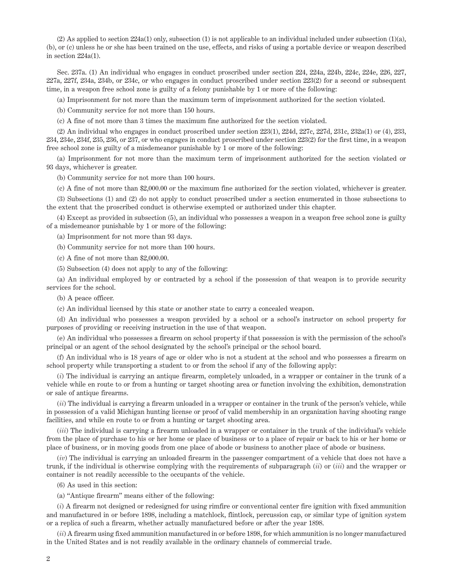(2) As applied to section  $224a(1)$  only, subsection (1) is not applicable to an individual included under subsection (1)(a), (b), or (c) unless he or she has been trained on the use, effects, and risks of using a portable device or weapon described in section 224a(1).

Sec. 237a. (1) An individual who engages in conduct proscribed under section 224, 224a, 224b, 224c, 224e, 226, 227, 227a, 227f, 234a, 234b, or 234c, or who engages in conduct proscribed under section 223(2) for a second or subsequent time, in a weapon free school zone is guilty of a felony punishable by 1 or more of the following:

(a) Imprisonment for not more than the maximum term of imprisonment authorized for the section violated.

(b) Community service for not more than 150 hours.

(c) A fine of not more than 3 times the maximum fine authorized for the section violated.

(2) An individual who engages in conduct proscribed under section 223(1), 224d, 227c, 227d, 231c, 232a(1) or (4), 233, 234, 234e, 234f, 235, 236, or 237, or who engages in conduct proscribed under section 223(2) for the first time, in a weapon free school zone is guilty of a misdemeanor punishable by 1 or more of the following:

(a) Imprisonment for not more than the maximum term of imprisonment authorized for the section violated or 93 days, whichever is greater.

(b) Community service for not more than 100 hours.

(c) A fine of not more than \$2,000.00 or the maximum fine authorized for the section violated, whichever is greater.

(3) Subsections (1) and (2) do not apply to conduct proscribed under a section enumerated in those subsections to the extent that the proscribed conduct is otherwise exempted or authorized under this chapter.

(4) Except as provided in subsection (5), an individual who possesses a weapon in a weapon free school zone is guilty of a misdemeanor punishable by 1 or more of the following:

(a) Imprisonment for not more than 93 days.

(b) Community service for not more than 100 hours.

(c) A fine of not more than \$2,000.00.

(5) Subsection (4) does not apply to any of the following:

(a) An individual employed by or contracted by a school if the possession of that weapon is to provide security services for the school.

(b) A peace officer.

(c) An individual licensed by this state or another state to carry a concealed weapon.

(d) An individual who possesses a weapon provided by a school or a school's instructor on school property for purposes of providing or receiving instruction in the use of that weapon.

(e) An individual who possesses a firearm on school property if that possession is with the permission of the school's principal or an agent of the school designated by the school's principal or the school board.

(f) An individual who is 18 years of age or older who is not a student at the school and who possesses a firearm on school property while transporting a student to or from the school if any of the following apply:

(*i*) The individual is carrying an antique firearm, completely unloaded, in a wrapper or container in the trunk of a vehicle while en route to or from a hunting or target shooting area or function involving the exhibition, demonstration or sale of antique firearms.

(*ii*) The individual is carrying a firearm unloaded in a wrapper or container in the trunk of the person's vehicle, while in possession of a valid Michigan hunting license or proof of valid membership in an organization having shooting range facilities, and while en route to or from a hunting or target shooting area.

(*iii*) The individual is carrying a firearm unloaded in a wrapper or container in the trunk of the individual's vehicle from the place of purchase to his or her home or place of business or to a place of repair or back to his or her home or place of business, or in moving goods from one place of abode or business to another place of abode or business.

(*iv*) The individual is carrying an unloaded firearm in the passenger compartment of a vehicle that does not have a trunk, if the individual is otherwise complying with the requirements of subparagraph (*ii*) or (*iii*) and the wrapper or container is not readily accessible to the occupants of the vehicle.

(6) As used in this section:

(a) "Antique firearm" means either of the following:

(*i*) A firearm not designed or redesigned for using rimfire or conventional center fire ignition with fixed ammunition and manufactured in or before 1898, including a matchlock, flintlock, percussion cap, or similar type of ignition system or a replica of such a firearm, whether actually manufactured before or after the year 1898.

(*ii*) A firearm using fixed ammunition manufactured in or before 1898, for which ammunition is no longer manufactured in the United States and is not readily available in the ordinary channels of commercial trade.